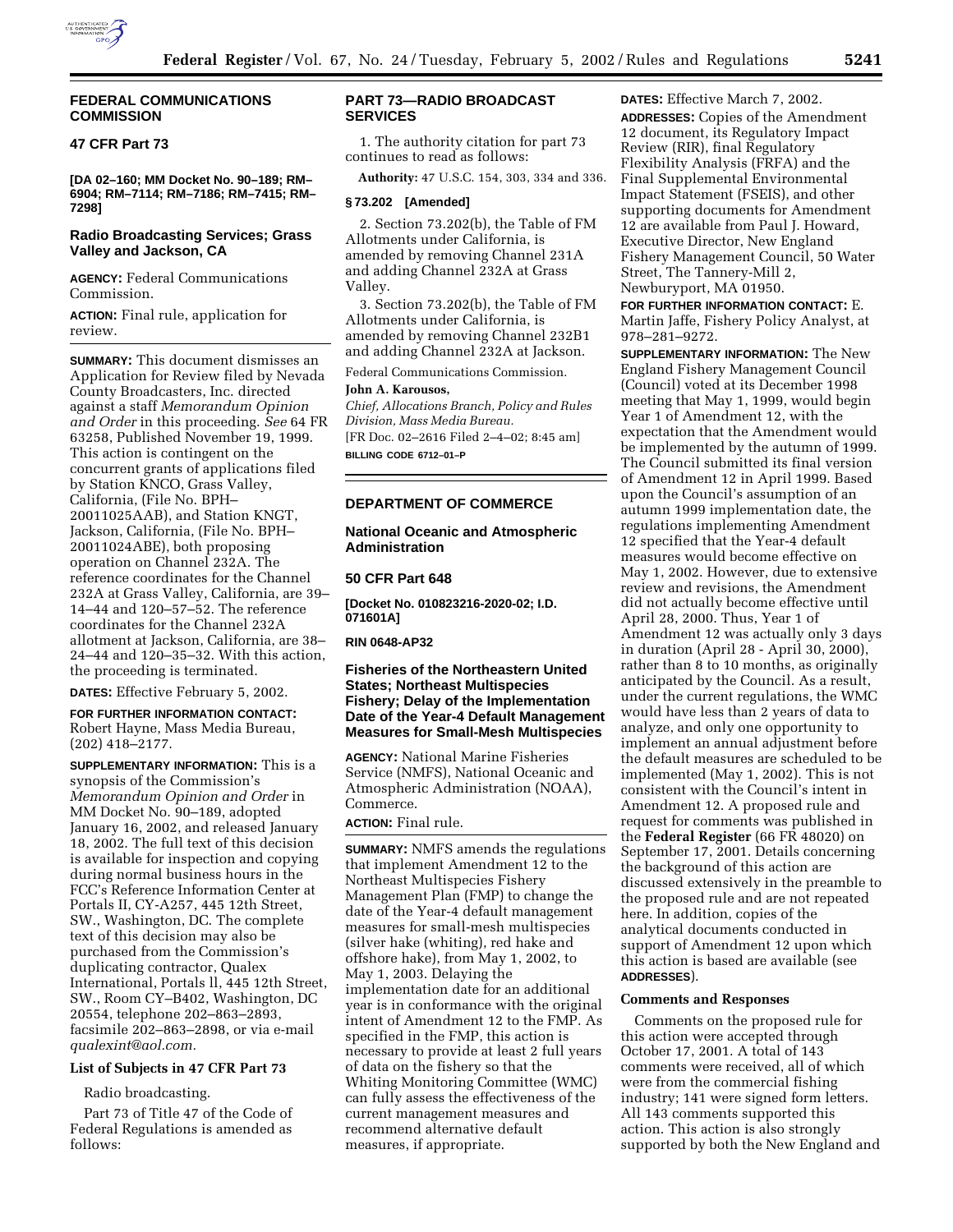

## **FEDERAL COMMUNICATIONS COMMISSION**

# **47 CFR Part 73**

**[DA 02–160; MM Docket No. 90–189; RM– 6904; RM–7114; RM–7186; RM–7415; RM– 7298]**

# **Radio Broadcasting Services; Grass Valley and Jackson, CA**

**AGENCY:** Federal Communications Commission.

**ACTION:** Final rule, application for review.

**SUMMARY:** This document dismisses an Application for Review filed by Nevada County Broadcasters, Inc. directed against a staff *Memorandum Opinion and Order* in this proceeding. *See* 64 FR 63258, Published November 19, 1999. This action is contingent on the concurrent grants of applications filed by Station KNCO, Grass Valley, California, (File No. BPH– 20011025AAB), and Station KNGT, Jackson, California, (File No. BPH– 20011024ABE), both proposing operation on Channel 232A. The reference coordinates for the Channel 232A at Grass Valley, California, are 39– 14–44 and 120–57–52. The reference coordinates for the Channel 232A allotment at Jackson, California, are 38– 24–44 and 120–35–32. With this action, the proceeding is terminated.

**DATES:** Effective February 5, 2002.

**FOR FURTHER INFORMATION CONTACT:** Robert Hayne, Mass Media Bureau, (202) 418–2177.

**SUPPLEMENTARY INFORMATION:** This is a synopsis of the Commission's *Memorandum Opinion and Order* in MM Docket No. 90–189, adopted January 16, 2002, and released January 18, 2002. The full text of this decision is available for inspection and copying during normal business hours in the FCC's Reference Information Center at Portals II, CY-A257, 445 12th Street, SW., Washington, DC. The complete text of this decision may also be purchased from the Commission's duplicating contractor, Qualex International, Portals ll, 445 12th Street, SW., Room CY–B402, Washington, DC 20554, telephone 202–863–2893, facsimile 202–863–2898, or via e-mail *qualexint@aol.com.*

# **List of Subjects in 47 CFR Part 73**

Radio broadcasting.

Part 73 of Title 47 of the Code of Federal Regulations is amended as follows:

# **PART 73—RADIO BROADCAST SERVICES**

1. The authority citation for part 73 continues to read as follows:

**Authority:** 47 U.S.C. 154, 303, 334 and 336.

## **§ 73.202 [Amended]**

2. Section 73.202(b), the Table of FM Allotments under California, is amended by removing Channel 231A and adding Channel 232A at Grass Valley.

3. Section 73.202(b), the Table of FM Allotments under California, is amended by removing Channel 232B1 and adding Channel 232A at Jackson.

Federal Communications Commission. **John A. Karousos,**

*Chief, Allocations Branch, Policy and Rules Division, Mass Media Bureau.* [FR Doc. 02–2616 Filed 2–4–02; 8:45 am] **BILLING CODE 6712–01–P**

#### **DEPARTMENT OF COMMERCE**

**National Oceanic and Atmospheric Administration**

#### **50 CFR Part 648**

**[Docket No. 010823216-2020-02; I.D. 071601A]**

# **RIN 0648-AP32**

# **Fisheries of the Northeastern United States; Northeast Multispecies Fishery; Delay of the Implementation Date of the Year-4 Default Management Measures for Small-Mesh Multispecies**

**AGENCY:** National Marine Fisheries Service (NMFS), National Oceanic and Atmospheric Administration (NOAA), Commerce.

## **ACTION:** Final rule.

**SUMMARY:** NMFS amends the regulations that implement Amendment 12 to the Northeast Multispecies Fishery Management Plan (FMP) to change the date of the Year-4 default management measures for small-mesh multispecies (silver hake (whiting), red hake and offshore hake), from May 1, 2002, to May 1, 2003. Delaying the implementation date for an additional year is in conformance with the original intent of Amendment 12 to the FMP. As specified in the FMP, this action is necessary to provide at least 2 full years of data on the fishery so that the Whiting Monitoring Committee (WMC) can fully assess the effectiveness of the current management measures and recommend alternative default measures, if appropriate.

**DATES:** Effective March 7, 2002. **ADDRESSES:** Copies of the Amendment 12 document, its Regulatory Impact Review (RIR), final Regulatory Flexibility Analysis (FRFA) and the Final Supplemental Environmental Impact Statement (FSEIS), and other supporting documents for Amendment 12 are available from Paul J. Howard, Executive Director, New England Fishery Management Council, 50 Water Street, The Tannery-Mill 2, Newburyport, MA 01950.

**FOR FURTHER INFORMATION CONTACT:** E. Martin Jaffe, Fishery Policy Analyst, at 978–281–9272.

**SUPPLEMENTARY INFORMATION:** The New England Fishery Management Council (Council) voted at its December 1998 meeting that May 1, 1999, would begin Year 1 of Amendment 12, with the expectation that the Amendment would be implemented by the autumn of 1999. The Council submitted its final version of Amendment 12 in April 1999. Based upon the Council's assumption of an autumn 1999 implementation date, the regulations implementing Amendment 12 specified that the Year-4 default measures would become effective on May 1, 2002. However, due to extensive review and revisions, the Amendment did not actually become effective until April 28, 2000. Thus, Year 1 of Amendment 12 was actually only 3 days in duration (April 28 - April 30, 2000), rather than 8 to 10 months, as originally anticipated by the Council. As a result, under the current regulations, the WMC would have less than 2 years of data to analyze, and only one opportunity to implement an annual adjustment before the default measures are scheduled to be implemented (May 1, 2002). This is not consistent with the Council's intent in Amendment 12. A proposed rule and request for comments was published in the **Federal Register** (66 FR 48020) on September 17, 2001. Details concerning the background of this action are discussed extensively in the preamble to the proposed rule and are not repeated here. In addition, copies of the analytical documents conducted in support of Amendment 12 upon which this action is based are available (see **ADDRESSES**).

#### **Comments and Responses**

Comments on the proposed rule for this action were accepted through October 17, 2001. A total of 143 comments were received, all of which were from the commercial fishing industry; 141 were signed form letters. All 143 comments supported this action. This action is also strongly supported by both the New England and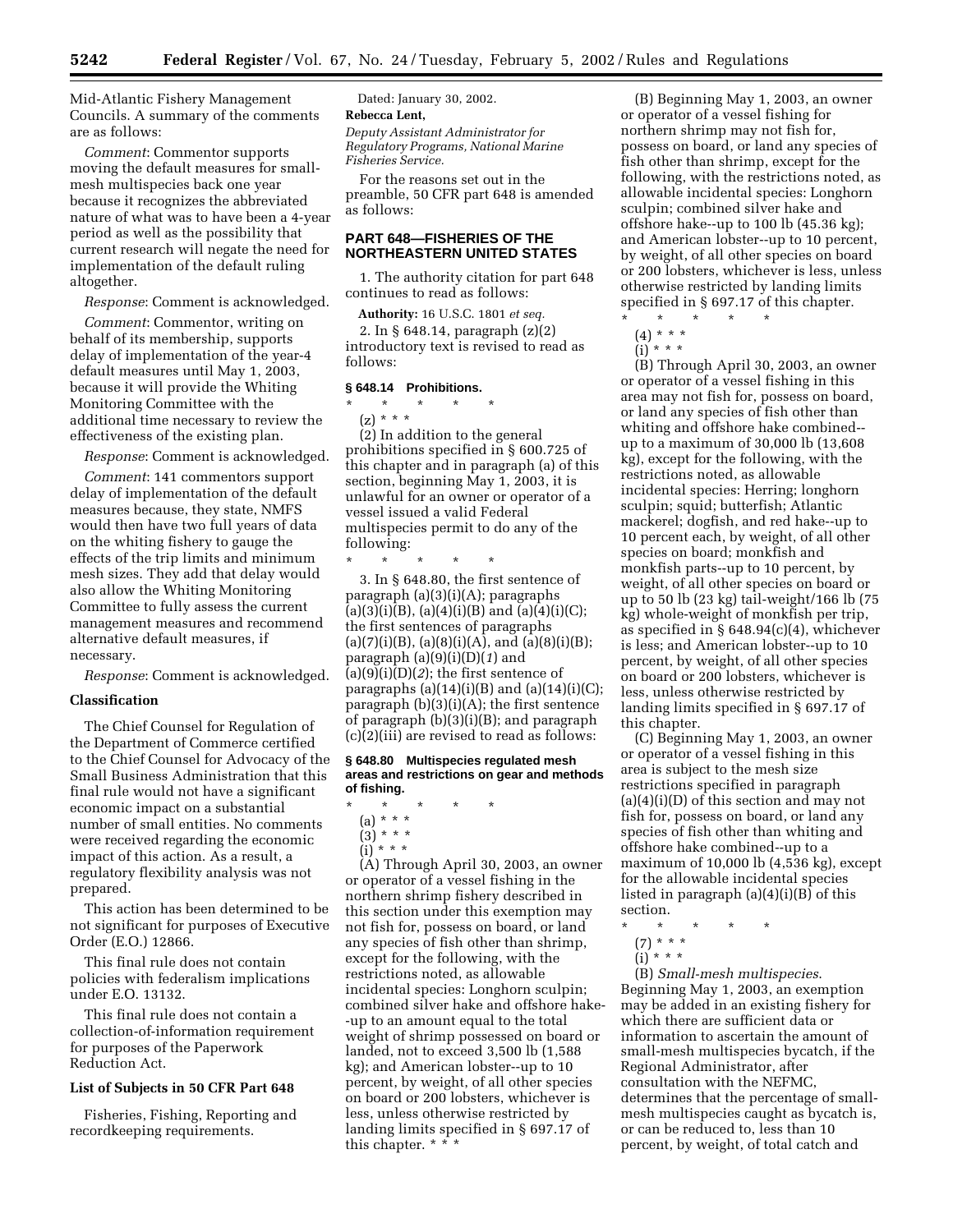Mid-Atlantic Fishery Management Councils. A summary of the comments are as follows:

*Comment*: Commentor supports moving the default measures for smallmesh multispecies back one year because it recognizes the abbreviated nature of what was to have been a 4-year period as well as the possibility that current research will negate the need for implementation of the default ruling altogether.

*Response*: Comment is acknowledged.

*Comment*: Commentor, writing on behalf of its membership, supports delay of implementation of the year-4 default measures until May 1, 2003, because it will provide the Whiting Monitoring Committee with the additional time necessary to review the effectiveness of the existing plan.

*Response*: Comment is acknowledged.

*Comment*: 141 commentors support delay of implementation of the default measures because, they state, NMFS would then have two full years of data on the whiting fishery to gauge the effects of the trip limits and minimum mesh sizes. They add that delay would also allow the Whiting Monitoring Committee to fully assess the current management measures and recommend alternative default measures, if necessary.

*Response*: Comment is acknowledged.

#### **Classification**

The Chief Counsel for Regulation of the Department of Commerce certified to the Chief Counsel for Advocacy of the Small Business Administration that this final rule would not have a significant economic impact on a substantial number of small entities. No comments were received regarding the economic impact of this action. As a result, a regulatory flexibility analysis was not prepared.

This action has been determined to be not significant for purposes of Executive Order (E.O.) 12866.

This final rule does not contain policies with federalism implications under E.O. 13132.

This final rule does not contain a collection-of-information requirement for purposes of the Paperwork Reduction Act.

# **List of Subjects in 50 CFR Part 648**

Fisheries, Fishing, Reporting and recordkeeping requirements.

Dated: January 30, 2002.

**Rebecca Lent,**

*Deputy Assistant Administrator for Regulatory Programs, National Marine Fisheries Service.*

For the reasons set out in the preamble, 50 CFR part 648 is amended as follows:

# **PART 648—FISHERIES OF THE NORTHEASTERN UNITED STATES**

1. The authority citation for part 648 continues to read as follows:

**Authority:** 16 U.S.C. 1801 *et seq.*

2. In § 648.14, paragraph (z)(2) introductory text is revised to read as follows:

## **§ 648.14 Prohibitions.**

# \* \* \* \* \*  $(z) * * * *$

(2) In addition to the general prohibitions specified in § 600.725 of this chapter and in paragraph (a) of this section, beginning May 1, 2003, it is unlawful for an owner or operator of a vessel issued a valid Federal multispecies permit to do any of the following:

\* \* \* \* \*

3. In § 648.80, the first sentence of paragraph (a)(3)(i)(A); paragraphs  $(a)(3)(i)(B)$ ,  $(a)(4)(i)(B)$  and  $(a)(4)(i)(C)$ ; the first sentences of paragraphs  $(a)(7)(i)(B)$ ,  $(a)(8)(i)(A)$ , and  $(a)(8)(i)(B)$ ; paragraph (a)(9)(i)(D)(*1*) and  $(a)(9)(i)(D)(2)$ ; the first sentence of paragraphs  $(a)(14)(i)(B)$  and  $(a)(14)(i)(C)$ ; paragraph (b)(3)(i)(A); the first sentence of paragraph (b)(3)(i)(B); and paragraph (c)(2)(iii) are revised to read as follows:

#### **§ 648.80 Multispecies regulated mesh areas and restrictions on gear and methods of fishing.**

- \* \* \* \* \*
	- (a) \* \* \*
	- $(3) * * * *$  $(i)$  \* \* \*
	-

(A) Through April 30, 2003, an owner or operator of a vessel fishing in the northern shrimp fishery described in this section under this exemption may not fish for, possess on board, or land any species of fish other than shrimp, except for the following, with the restrictions noted, as allowable incidental species: Longhorn sculpin; combined silver hake and offshore hake- -up to an amount equal to the total weight of shrimp possessed on board or landed, not to exceed 3,500 lb (1,588 kg); and American lobster--up to 10 percent, by weight, of all other species on board or 200 lobsters, whichever is less, unless otherwise restricted by landing limits specified in § 697.17 of this chapter. \* \* \*

(B) Beginning May 1, 2003, an owner or operator of a vessel fishing for northern shrimp may not fish for, possess on board, or land any species of fish other than shrimp, except for the following, with the restrictions noted, as allowable incidental species: Longhorn sculpin; combined silver hake and offshore hake--up to 100 lb (45.36 kg); and American lobster--up to 10 percent, by weight, of all other species on board or 200 lobsters, whichever is less, unless otherwise restricted by landing limits specified in § 697.17 of this chapter.

- $(4) * * *$
- $(i) * * * *$

(B) Through April 30, 2003, an owner or operator of a vessel fishing in this area may not fish for, possess on board, or land any species of fish other than whiting and offshore hake combined- up to a maximum of 30,000 lb (13,608 kg), except for the following, with the restrictions noted, as allowable incidental species: Herring; longhorn sculpin; squid; butterfish; Atlantic mackerel; dogfish, and red hake--up to 10 percent each, by weight, of all other species on board; monkfish and monkfish parts--up to 10 percent, by weight, of all other species on board or up to 50 lb (23 kg) tail-weight/166 lb (75 kg) whole-weight of monkfish per trip, as specified in § 648.94(c)(4), whichever is less; and American lobster--up to 10 percent, by weight, of all other species on board or 200 lobsters, whichever is less, unless otherwise restricted by landing limits specified in § 697.17 of this chapter.

(C) Beginning May 1, 2003, an owner or operator of a vessel fishing in this area is subject to the mesh size restrictions specified in paragraph (a)(4)(i)(D) of this section and may not fish for, possess on board, or land any species of fish other than whiting and offshore hake combined--up to a maximum of 10,000 lb (4,536 kg), except for the allowable incidental species listed in paragraph (a)(4)(i)(B) of this section.

- \* \* \* \* \*
	- (7) \* \* \*
	- (i) \* \* \*

(B) *Small-mesh multispecies*. Beginning May 1, 2003, an exemption may be added in an existing fishery for which there are sufficient data or information to ascertain the amount of small-mesh multispecies bycatch, if the Regional Administrator, after consultation with the NEFMC, determines that the percentage of smallmesh multispecies caught as bycatch is, or can be reduced to, less than 10 percent, by weight, of total catch and

<sup>\* \* \* \* \*</sup>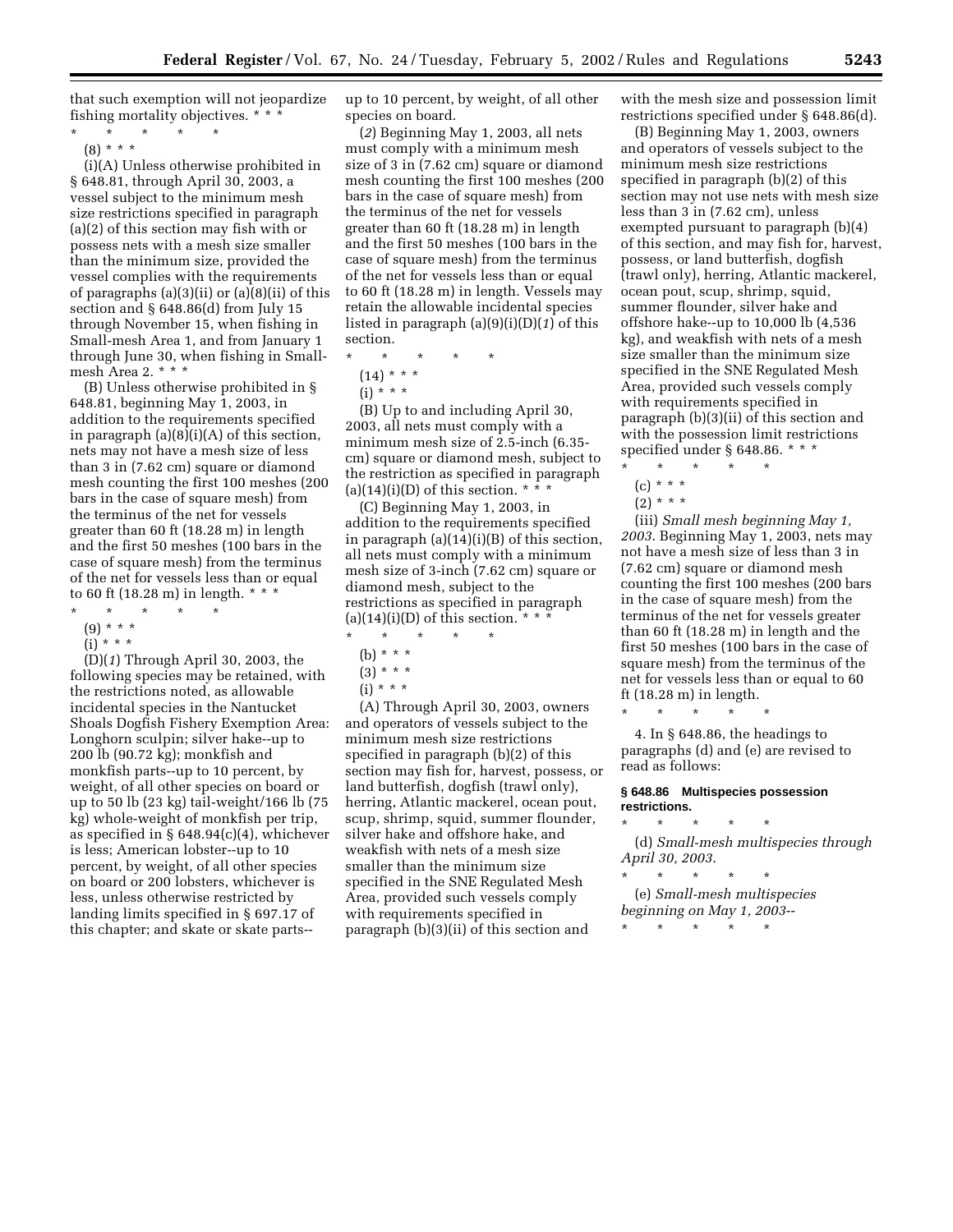that such exemption will not jeopardize fishing mortality objectives. \* \* \*

\* \* \* \* \*

 $(8) * * * *$ 

(i)(A) Unless otherwise prohibited in § 648.81, through April 30, 2003, a vessel subject to the minimum mesh size restrictions specified in paragraph (a)(2) of this section may fish with or possess nets with a mesh size smaller than the minimum size, provided the vessel complies with the requirements of paragraphs (a)(3)(ii) or (a)(8)(ii) of this section and § 648.86(d) from July 15 through November 15, when fishing in Small-mesh Area 1, and from January 1 through June 30, when fishing in Smallmesh Area 2. \* \* \*

(B) Unless otherwise prohibited in § 648.81, beginning May 1, 2003, in addition to the requirements specified in paragraph (a)(8)(i)(A) of this section, nets may not have a mesh size of less than 3 in (7.62 cm) square or diamond mesh counting the first 100 meshes (200 bars in the case of square mesh) from the terminus of the net for vessels greater than 60 ft (18.28 m) in length and the first 50 meshes (100 bars in the case of square mesh) from the terminus of the net for vessels less than or equal to 60 ft (18.28 m) in length. \* \* \*

- \* \* \* \* \*
	- (9) \* \* \*
	- $(i)$  \* \* \*

(D)(*1*) Through April 30, 2003, the following species may be retained, with the restrictions noted, as allowable incidental species in the Nantucket Shoals Dogfish Fishery Exemption Area: Longhorn sculpin; silver hake--up to 200 lb (90.72 kg); monkfish and monkfish parts--up to 10 percent, by weight, of all other species on board or up to 50 lb (23 kg) tail-weight/166 lb (75 kg) whole-weight of monkfish per trip, as specified in § 648.94(c)(4), whichever is less; American lobster--up to 10 percent, by weight, of all other species on board or 200 lobsters, whichever is less, unless otherwise restricted by landing limits specified in § 697.17 of this chapter; and skate or skate parts--

up to 10 percent, by weight, of all other species on board.

(*2*) Beginning May 1, 2003, all nets must comply with a minimum mesh size of 3 in (7.62 cm) square or diamond mesh counting the first 100 meshes (200 bars in the case of square mesh) from the terminus of the net for vessels greater than 60 ft (18.28 m) in length and the first 50 meshes (100 bars in the case of square mesh) from the terminus of the net for vessels less than or equal to 60 ft (18.28 m) in length. Vessels may retain the allowable incidental species listed in paragraph (a)(9)(i)(D)(*1*) of this section.

- \* \* \* \* \*
	- (14) \* \* \*
	- $(i) * * * *$

(B) Up to and including April 30, 2003, all nets must comply with a minimum mesh size of 2.5-inch (6.35 cm) square or diamond mesh, subject to the restriction as specified in paragraph (a)(14)(i)(D) of this section.  $* \overline{*} *$ 

(C) Beginning May 1, 2003, in addition to the requirements specified in paragraph (a)(14)(i)(B) of this section, all nets must comply with a minimum mesh size of 3-inch (7.62 cm) square or diamond mesh, subject to the restrictions as specified in paragraph  $(a)(14)(i)(D)$  of this section. \* \* \*

- \* \* \* \* \*
- (b) \* \* \*
- $(3) * * * *$
- (i) \* \* \*

(A) Through April 30, 2003, owners and operators of vessels subject to the minimum mesh size restrictions specified in paragraph (b)(2) of this section may fish for, harvest, possess, or land butterfish, dogfish (trawl only), herring, Atlantic mackerel, ocean pout, scup, shrimp, squid, summer flounder, silver hake and offshore hake, and weakfish with nets of a mesh size smaller than the minimum size specified in the SNE Regulated Mesh Area, provided such vessels comply with requirements specified in paragraph (b)(3)(ii) of this section and

with the mesh size and possession limit restrictions specified under § 648.86(d).

(B) Beginning May 1, 2003, owners and operators of vessels subject to the minimum mesh size restrictions specified in paragraph (b)(2) of this section may not use nets with mesh size less than 3 in (7.62 cm), unless exempted pursuant to paragraph (b)(4) of this section, and may fish for, harvest, possess, or land butterfish, dogfish (trawl only), herring, Atlantic mackerel, ocean pout, scup, shrimp, squid, summer flounder, silver hake and offshore hake--up to 10,000 lb (4,536 kg), and weakfish with nets of a mesh size smaller than the minimum size specified in the SNE Regulated Mesh Area, provided such vessels comply with requirements specified in paragraph (b)(3)(ii) of this section and with the possession limit restrictions specified under § 648.86. \* \* \*

\* \* \* \* \*

- $(c) * * * *$
- $(2) * * * *$

(iii) *Small mesh beginning May 1, 2003*. Beginning May 1, 2003, nets may not have a mesh size of less than 3 in (7.62 cm) square or diamond mesh counting the first 100 meshes (200 bars in the case of square mesh) from the terminus of the net for vessels greater than 60 ft (18.28 m) in length and the first 50 meshes (100 bars in the case of square mesh) from the terminus of the net for vessels less than or equal to 60 ft (18.28 m) in length.

\* \* \* \* \*

4. In § 648.86, the headings to paragraphs (d) and (e) are revised to read as follows:

### **§ 648.86 Multispecies possession restrictions.**

\* \* \* \* \* (d) *Small-mesh multispecies through April 30, 2003*.

\* \* \* \* \* (e) *Small-mesh multispecies beginning on May 1, 2003*--

\* \* \* \* \*